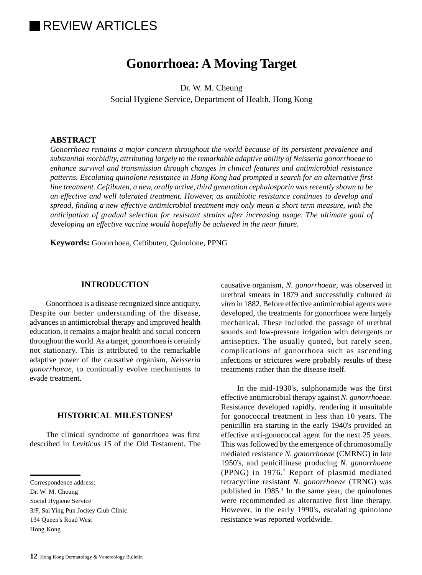# **IREVIEW ARTICLES**

## **Gonorrhoea: A Moving Target**

Dr. W. M. Cheung Social Hygiene Service, Department of Health, Hong Kong

## **ABSTRACT**

*Gonorrhoea remains a major concern throughout the world because of its persistent prevalence and substantial morbidity, attributing largely to the remarkable adaptive ability of Neisseria gonorrhoeae to enhance survival and transmission through changes in clinical features and antimicrobial resistance patterns. Escalating quinolone resistance in Hong Kong had prompted a search for an alternative first line treatment. Ceftibuten, a new, orally active, third generation cephalosporin was recently shown to be an effective and well tolerated treatment. However, as antibiotic resistance continues to develop and spread, finding a new effective antimicrobial treatment may only mean a short term measure, with the anticipation of gradual selection for resistant strains after increasing usage. The ultimate goal of developing an effective vaccine would hopefully be achieved in the near future.*

**Keywords:** Gonorrhoea, Ceftibuten, Quinolone, PPNG

### **INTRODUCTION**

Gonorrhoea is a disease recognized since antiquity. Despite our better understanding of the disease, advances in antimicrobial therapy and improved health education, it remains a major health and social concern throughout the world. As a target, gonorrhoea is certainly not stationary. This is attributed to the remarkable adaptive power of the causative organism, *Neisseria gonorrhoeae*, to continually evolve mechanisms to evade treatment.

## **HISTORICAL MILESTONES1**

The clinical syndrome of gonorrhoea was first described in *Leviticus 15* of the Old Testament. The

134 Queen's Road West

causative organism, *N. gonorrhoeae*, was observed in urethral smears in 1879 and successfully cultured *in vitro* in 1882. Before effective antimicrobial agents were developed, the treatments for gonorrhoea were largely mechanical. These included the passage of urethral sounds and low-pressure irrigation with detergents or antiseptics. The usually quoted, but rarely seen, complications of gonorrhoea such as ascending infections or strictures were probably results of these treatments rather than the disease itself.

In the mid-1930's, sulphonamide was the first effective antimicrobial therapy against *N. gonorrhoeae*. Resistance developed rapidly, rendering it unsuitable for gonococcal treatment in less than 10 years. The penicillin era starting in the early 1940's provided an effective anti-gonococcal agent for the next 25 years. This was followed by the emergence of chromosomally mediated resistance *N. gonorrhoeae* (CMRNG) in late 1950's, and penicillinase producing *N. gonorrhoeae* (PPNG) in 1976.<sup>2</sup> Report of plasmid mediated tetracycline resistant *N. gonorrhoeae* (TRNG) was published in 1985.<sup>3</sup> In the same year, the quinolones were recommended as alternative first line therapy. However, in the early 1990's, escalating quinolone resistance was reported worldwide.

Correspondence address:

Dr. W. M. Cheung

Social Hygiene Service

<sup>3/</sup>F, Sai Ying Pun Jockey Club Clinic

Hong Kong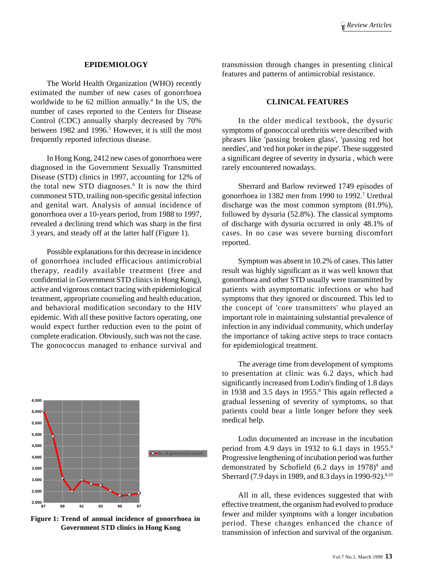#### **EPIDEMIOLOGY**

The World Health Organization (WHO) recently estimated the number of new cases of gonorrhoea worldwide to be 62 million annually.<sup>4</sup> In the US, the number of cases reported to the Centers for Disease Control (CDC) annually sharply decreased by 70% between 1982 and 1996.<sup>5</sup> However, it is still the most frequently reported infectious disease.

In Hong Kong, 2412 new cases of gonorrhoea were diagnosed in the Government Sexually Transmitted Disease (STD) clinics in 1997, accounting for 12% of the total new STD diagnoses.<sup>6</sup> It is now the third commonest STD, trailing non-specific genital infection and genital wart. Analysis of annual incidence of gonorrhoea over a 10-years period, from 1988 to 1997, revealed a declining trend which was sharp in the first 3 years, and steady off at the latter half (Figure 1).

Possible explanations for this decrease in incidence of gonorrhoea included efficacious antimicrobial therapy, readily available treatment (free and confidential in Government STD clinics in Hong Kong), active and vigorous contact tracing with epidemiological treatment, appropriate counseling and health education, and behavioral modification secondary to the HIV epidemic. With all these positive factors operating, one would expect further reduction even to the point of complete eradication. Obviously, such was not the case. The gonococcus managed to enhance survival and



**Figure 1: Trend of annual incidence of gonorrhoea in Government STD clinics in Hong Kong**

transmission through changes in presenting clinical features and patterns of antimicrobial resistance.

#### **CLINICAL FEATURES**

In the older medical textbook, the dysuric symptoms of gonococcal urethritis were described with phrases like 'passing broken glass', 'passing red hot needles', and 'red hot poker in the pipe'. These suggested a significant degree of severity in dysuria , which were rarely encountered nowadays.

Sherrard and Barlow reviewed 1749 episodes of gonorrhoea in 1382 men from 1990 to 1992.<sup>7</sup> Urethral discharge was the most common symptom (81.9%), followed by dysuria (52.8%). The classical symptoms of discharge with dysuria occurred in only 48.1% of cases. In no case was severe burning discomfort reported.

Symptom was absent in 10.2% of cases. This latter result was highly significant as it was well known that gonorrhoea and other STD usually were transmitted by patients with asymptomatic infections or who had symptoms that they ignored or discounted. This led to the concept of 'core transmitters' who played an important role in maintaining substantial prevalence of infection in any individual community, which underlay the importance of taking active steps to trace contacts for epidemiological treatment.

The average time from development of symptoms to presentation at clinic was 6.2 days, which had significantly increased from Lodin's finding of 1.8 days in 1938 and 3.5 days in 1955.<sup>8</sup> This again reflected a gradual lessening of severity of symptoms, so that patients could bear a little longer before they seek medical help.

Lodin documented an increase in the incubation period from 4.9 days in 1932 to 6.1 days in 1955. $8$ Progressive lengthening of incubation period was further demonstrated by Schofield (6.2 days in 1978)<sup>9</sup> and Sherrard (7.9 days in 1989, and 8.3 days in 1990-92).<sup>8,10</sup>

All in all, these evidences suggested that with effective treatment, the organism had evolved to produce fewer and milder symptoms with a longer incubation period. These changes enhanced the chance of transmission of infection and survival of the organism.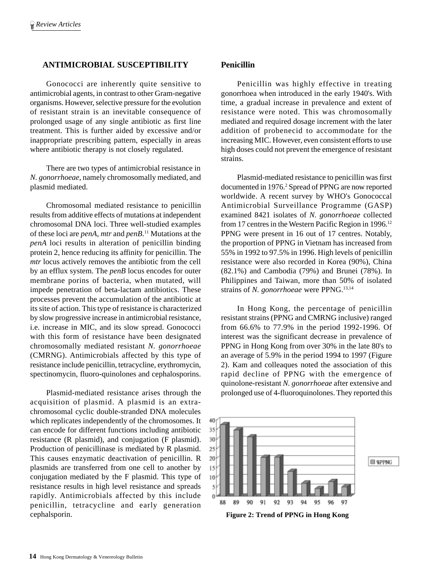## **ANTIMICROBIAL SUSCEPTIBILITY**

Gonococci are inherently quite sensitive to antimicrobial agents, in contrast to other Gram-negative organisms. However, selective pressure for the evolution of resistant strain is an inevitable consequence of prolonged usage of any single antibiotic as first line treatment. This is further aided by excessive and/or inappropriate prescribing pattern, especially in areas where antibiotic therapy is not closely regulated.

There are two types of antimicrobial resistance in *N. gonorrhoeae*, namely chromosomally mediated, and plasmid mediated.

Chromosomal mediated resistance to penicillin results from additive effects of mutations at independent chromosomal DNA loci. Three well-studied examples of these loci are *penA*, *mtr* and *penB*. 11 Mutations at the *penA* loci results in alteration of penicillin binding protein 2, hence reducing its affinity for penicillin. The *mtr* locus actively removes the antibiotic from the cell by an efflux system. The *penB* locus encodes for outer membrane porins of bacteria, when mutated, will impede penetration of beta-lactam antibiotics. These processes prevent the accumulation of the antibiotic at its site of action. This type of resistance is characterized by slow progressive increase in antimicrobial resistance, i.e. increase in MIC, and its slow spread. Gonococci with this form of resistance have been designated chromosomally mediated resistant *N. gonorrhoeae* (CMRNG). Antimicrobials affected by this type of resistance include penicillin, tetracycline, erythromycin, spectinomycin, fluoro-quinolones and cephalosporins.

Plasmid-mediated resistance arises through the acquisition of plasmid. A plasmid is an extrachromosomal cyclic double-stranded DNA molecules which replicates independently of the chromosomes. It can encode for different functions including antibiotic resistance (R plasmid), and conjugation (F plasmid). Production of penicillinase is mediated by R plasmid. This causes enzymatic deactivation of penicillin. R plasmids are transferred from one cell to another by conjugation mediated by the F plasmid. This type of resistance results in high level resistance and spreads rapidly. Antimicrobials affected by this include penicillin, tetracycline and early generation cephalsporin.

## **Penicillin**

Penicillin was highly effective in treating gonorrhoea when introduced in the early 1940's. With time, a gradual increase in prevalence and extent of resistance were noted. This was chromosomally mediated and required dosage increment with the later addition of probenecid to accommodate for the increasing MIC. However, even consistent efforts to use high doses could not prevent the emergence of resistant strains.

Plasmid-mediated resistance to penicillin was first documented in 1976.<sup>2</sup> Spread of PPNG are now reported worldwide. A recent survey by WHO's Gonococcal Antimicrobial Surveillance Programme (GASP) examined 8421 isolates of *N. gonorrhoeae* collected from 17 centres in the Western Pacific Region in 1996.<sup>12</sup> PPNG were present in 16 out of 17 centres. Notably, the proportion of PPNG in Vietnam has increased from 55% in 1992 to 97.5% in 1996. High levels of penicillin resistance were also recorded in Korea (90%), China (82.1%) and Cambodia (79%) and Brunei (78%). In Philippines and Taiwan, more than 50% of isolated strains of *N. gonorrhoeae* were PPNG.<sup>13,14</sup>

In Hong Kong, the percentage of penicillin resistant strains (PPNG and CMRNG inclusive) ranged from 66.6% to 77.9% in the period 1992-1996. Of interest was the significant decrease in prevalence of PPNG in Hong Kong from over 30% in the late 80's to an average of 5.9% in the period 1994 to 1997 (Figure 2). Kam and colleaques noted the association of this rapid decline of PPNG with the emergence of quinolone-resistant *N. gonorrhoeae* after extensive and prolonged use of 4-fluoroquinolones. They reported this



**Figure 2: Trend of PPNG in Hong Kong**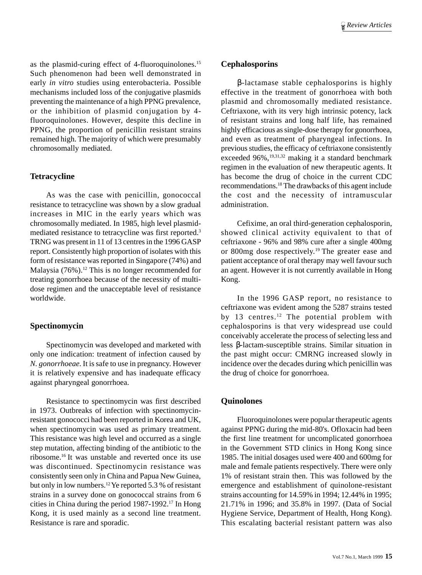as the plasmid-curing effect of 4-fluoroquinolones.<sup>15</sup> Such phenomenon had been well demonstrated in early *in vitro* studies using enterobacteria. Possible mechanisms included loss of the conjugative plasmids preventing the maintenance of a high PPNG prevalence, or the inhibition of plasmid conjugation by 4 fluoroquinolones. However, despite this decline in PPNG, the proportion of penicillin resistant strains remained high. The majority of which were presumably chromosomally mediated.

### **Tetracycline**

As was the case with penicillin, gonococcal resistance to tetracycline was shown by a slow gradual increases in MIC in the early years which was chromosomally mediated. In 1985, high level plasmidmediated resistance to tetracycline was first reported.3 TRNG was present in 11 of 13 centres in the 1996 GASP report. Consistently high proportion of isolates with this form of resistance was reported in Singapore (74%) and Malaysia  $(76\%)$ .<sup>12</sup> This is no longer recommended for treating gonorrhoea because of the necessity of multidose regimen and the unacceptable level of resistance worldwide.

## **Spectinomycin**

Spectinomycin was developed and marketed with only one indication: treatment of infection caused by *N. gonorrhoeae*. It is safe to use in pregnancy. However it is relatively expensive and has inadequate efficacy against pharyngeal gonorrhoea.

Resistance to spectinomycin was first described in 1973. Outbreaks of infection with spectinomycinresistant gonococci had been reported in Korea and UK, when spectinomycin was used as primary treatment. This resistance was high level and occurred as a single step mutation, affecting binding of the antibiotic to the ribosome.16 It was unstable and reverted once its use was discontinued. Spectinomycin resistance was consistently seen only in China and Papua New Guinea, but only in low numbers.12 Ye reported 5.3 % of resistant strains in a survey done on gonococcal strains from 6 cities in China during the period 1987-1992.17 In Hong Kong, it is used mainly as a second line treatment. Resistance is rare and sporadic.

#### **Cephalosporins**

β-lactamase stable cephalosporins is highly effective in the treatment of gonorrhoea with both plasmid and chromosomally mediated resistance. Ceftriaxone, with its very high intrinsic potency, lack of resistant strains and long half life, has remained highly efficacious as single-dose therapy for gonorrhoea, and even as treatment of pharyngeal infections. In previous studies, the efficacy of ceftriaxone consistently exceeded 96%,<sup>19,31,32</sup> making it a standard benchmark regimen in the evaluation of new therapeutic agents. It has become the drug of choice in the current CDC recommendations.18 The drawbacks of this agent include the cost and the necessity of intramuscular administration.

Cefixime, an oral third-generation cephalosporin, showed clinical activity equivalent to that of ceftriaxone - 96% and 98% cure after a single 400mg or 800mg dose respectively.19 The greater ease and patient acceptance of oral therapy may well favour such an agent. However it is not currently available in Hong Kong.

In the 1996 GASP report, no resistance to ceftriaxone was evident among the 5287 strains tested by 13 centres.<sup>12</sup> The potential problem with cephalosporins is that very widespread use could conceivably accelerate the process of selecting less and less β-lactam-susceptible strains. Similar situation in the past might occur: CMRNG increased slowly in incidence over the decades during which penicillin was the drug of choice for gonorrhoea.

### **Quinolones**

Fluoroquinolones were popular therapeutic agents against PPNG during the mid-80's. Ofloxacin had been the first line treatment for uncomplicated gonorrhoea in the Government STD clinics in Hong Kong since 1985. The initial dosages used were 400 and 600mg for male and female patients respectively. There were only 1% of resistant strain then. This was followed by the emergence and establishment of quinolone-resistant strains accounting for 14.59% in 1994; 12.44% in 1995; 21.71% in 1996; and 35.8% in 1997. (Data of Social Hygiene Service, Department of Health, Hong Kong). This escalating bacterial resistant pattern was also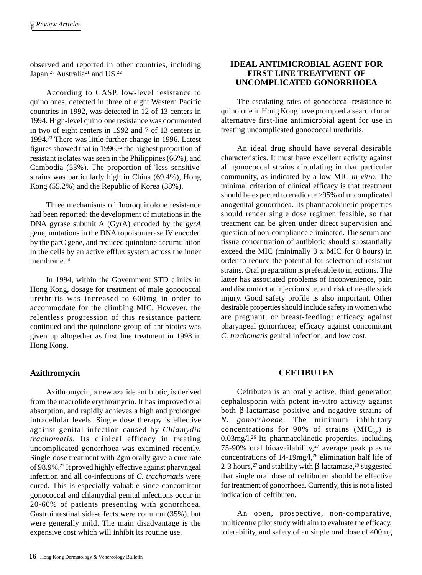observed and reported in other countries, including Japan,<sup>20</sup> Australia<sup>21</sup> and US.<sup>22</sup>

According to GASP, low-level resistance to quinolones, detected in three of eight Western Pacific countries in 1992, was detected in 12 of 13 centers in 1994. High-level quinolone resistance was documented in two of eight centers in 1992 and 7 of 13 centers in 1994.23 There was little further change in 1996. Latest figures showed that in 1996,<sup>12</sup> the highest proportion of resistant isolates was seen in the Philippines (66%), and Cambodia (53%). The proportion of 'less sensitive' strains was particularly high in China (69.4%), Hong Kong (55.2%) and the Republic of Korea (38%).

Three mechanisms of fluoroquinolone resistance had been reported: the development of mutations in the DNA gyrase subunit A (GyrA) encoded by the *gyrA* gene, mutations in the DNA topoisomerase IV encoded by the parC gene, and reduced quinolone accumulation in the cells by an active efflux system across the inner membrane<sup>24</sup>

In 1994, within the Government STD clinics in Hong Kong, dosage for treatment of male gonococcal urethritis was increased to 600mg in order to accommodate for the climbing MIC. However, the relentless progression of this resistance pattern continued and the quinolone group of antibiotics was given up altogether as first line treatment in 1998 in Hong Kong.

## **Azithromycin**

Azithromycin, a new azalide antibiotic, is derived from the macrolide erythromycin. It has improved oral absorption, and rapidly achieves a high and prolonged intracellular levels. Single dose therapy is effective against genital infection caused by *Chlamydia trachomatis*. Its clinical efficacy in treating uncomplicated gonorrhoea was examined recently. Single-dose treatment with 2gm orally gave a cure rate of 98.9%.25 It proved highly effective against pharyngeal infection and all co-infections of *C. trachomatis* were cured. This is especially valuable since concomitant gonococcal and chlamydial genital infections occur in 20-60% of patients presenting with gonorrhoea. Gastrointestinal side-effects were common (35%), but were generally mild. The main disadvantage is the expensive cost which will inhibit its routine use.

## **IDEAL ANTIMICROBIAL AGENT FOR FIRST LINE TREATMENT OF UNCOMPLICATED GONORRHOEA**

The escalating rates of gonococcal resistance to quinolone in Hong Kong have prompted a search for an alternative first-line antimicrobial agent for use in treating uncomplicated gonococcal urethritis.

An ideal drug should have several desirable characteristics. It must have excellent activity against all gonococcal strains circulating in that particular community, as indicated by a low MIC *in vitro*. The minimal criterion of clinical efficacy is that treatment should be expected to eradicate >95% of uncomplicated anogenital gonorrhoea. Its pharmacokinetic properties should render single dose regimen feasible, so that treatment can be given under direct supervision and question of non-compliance eliminated. The serum and tissue concentration of antibiotic should substantially exceed the MIC (minimally 3 x MIC for 8 hours) in order to reduce the potential for selection of resistant strains. Oral preparation is preferable to injections. The latter has associated problems of inconvenience, pain and discomfort at injection site, and risk of needle stick injury. Good safety profile is also important. Other desirable properties should include safety in women who are pregnant, or breast-feeding; efficacy against pharyngeal gonorrhoea; efficacy against concomitant *C. trachomatis* genital infection; and low cost.

## **CEFTIBUTEN**

Ceftibuten is an orally active, third generation cephalosporin with potent in-vitro activity against both β-lactamase positive and negative strains of *N. gonorrhoeae*. The minimum inhibitory concentrations for 90% of strains  $(MIC_{90})$  is 0.03mg/l.26 Its pharmacokinetic properties, including 75-90% oral bioavailability,<sup>27</sup> average peak plasma concentrations of  $14-19$ mg/l,<sup>28</sup> elimination half life of 2-3 hours,<sup>27</sup> and stability with β-lactamase,<sup>29</sup> suggested that single oral dose of ceftibuten should be effective for treatment of gonorrhoea. Currently, this is not a listed indication of ceftibuten.

An open, prospective, non-comparative, multicentre pilot study with aim to evaluate the efficacy, tolerability, and safety of an single oral dose of 400mg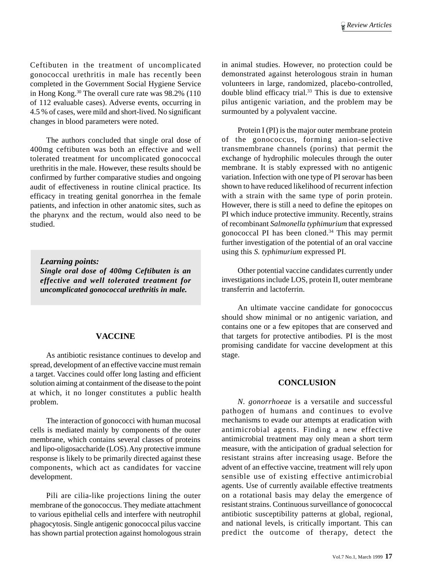Ceftibuten in the treatment of uncomplicated gonococcal urethritis in male has recently been completed in the Government Social Hygiene Service in Hong Kong.30 The overall cure rate was 98.2% (110 of 112 evaluable cases). Adverse events, occurring in 4.5 % of cases, were mild and short-lived. No significant changes in blood parameters were noted.

The authors concluded that single oral dose of 400mg ceftibuten was both an effective and well tolerated treatment for uncomplicated gonococcal urethritis in the male. However, these results should be confirmed by further comparative studies and ongoing audit of effectiveness in routine clinical practice. Its efficacy in treating genital gonorrhea in the female patients, and infection in other anatomic sites, such as the pharynx and the rectum, would also need to be studied.

*Learning points: Single oral dose of 400mg Ceftibuten is an effective and well tolerated treatment for uncomplicated gonococcal urethritis in male.*

### **VACCINE**

As antibiotic resistance continues to develop and spread, development of an effective vaccine must remain a target. Vaccines could offer long lasting and efficient solution aiming at containment of the disease to the point at which, it no longer constitutes a public health problem.

The interaction of gonococci with human mucosal cells is mediated mainly by components of the outer membrane, which contains several classes of proteins and lipo-oligosaccharide (LOS). Any protective immune response is likely to be primarily directed against these components, which act as candidates for vaccine development.

Pili are cilia-like projections lining the outer membrane of the gonococcus. They mediate attachment to various epithelial cells and interfere with neutrophil phagocytosis. Single antigenic gonococcal pilus vaccine has shown partial protection against homologous strain in animal studies. However, no protection could be demonstrated against heterologous strain in human volunteers in large, randomized, placebo-controlled, double blind efficacy trial.<sup>33</sup> This is due to extensive pilus antigenic variation, and the problem may be surmounted by a polyvalent vaccine.

Protein I (PI) is the major outer membrane protein of the gonococcus, forming anion-selective transmembrane channels (porins) that permit the exchange of hydrophilic molecules through the outer membrane. It is stably expressed with no antigenic variation. Infection with one type of PI serovar has been shown to have reduced likelihood of recurrent infection with a strain with the same type of porin protein. However, there is still a need to define the epitopes on PI which induce protective immunity. Recently, strains of recombinant *Salmonella typhimurium* that expressed gonococcal PI has been cloned.34 This may permit further investigation of the potential of an oral vaccine using this *S. typhimurium* expressed PI.

Other potential vaccine candidates currently under investigations include LOS, protein II, outer membrane transferrin and lactoferrin.

An ultimate vaccine candidate for gonococcus should show minimal or no antigenic variation, and contains one or a few epitopes that are conserved and that targets for protective antibodies. PI is the most promising candidate for vaccine development at this stage.

### **CONCLUSION**

*N. gonorrhoeae* is a versatile and successful pathogen of humans and continues to evolve mechanisms to evade our attempts at eradication with antimicrobial agents. Finding a new effective antimicrobial treatment may only mean a short term measure, with the anticipation of gradual selection for resistant strains after increasing usage. Before the advent of an effective vaccine, treatment will rely upon sensible use of existing effective antimicrobial agents. Use of currently available effective treatments on a rotational basis may delay the emergence of resistant strains. Continuous surveillance of gonococcal antibiotic susceptibility patterns at global, regional, and national levels, is critically important. This can predict the outcome of therapy, detect the